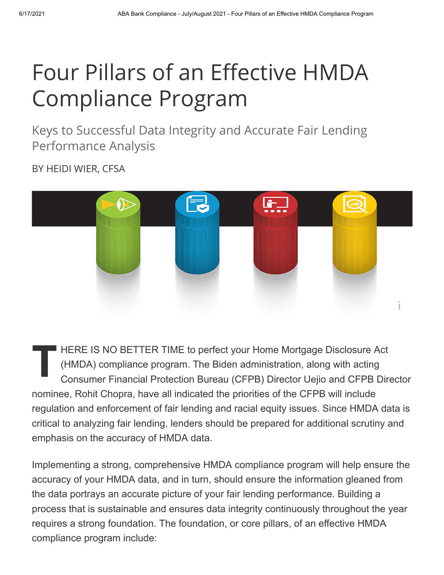# Four Pillars of an Effective HMDA Compliance Program

Keys to Successful Data Integrity and Accurate Fair Lending Performance Analysis

BY HEIDI WIER, CFSA



 $\prod_{c}^{\mu}$ HERE IS NO BETTER TIME to perfect your Home Mortgage Disclosure Act (HMDA) compliance program. The Biden administration, along with acting Consumer Financial Protection Bureau (CFPB) Director Uejio and CFPB Director nominee, Rohit Chopra, have all indicated the priorities of the CFPB will include regulation and enforcement of fair lending and racial equity issues. Since HMDA data is critical to analyzing fair lending, lenders should be prepared for additional scrutiny and emphasis on the accuracy of HMDA data.

Implementing a strong, comprehensive HMDA compliance program will help ensure the accuracy of your HMDA data, and in turn, should ensure the information gleaned from the data portrays an accurate picture of your fair lending performance. Building a process that is sustainable and ensures data integrity continuously throughout the year requires a strong foundation. The foundation, or core pillars, of an effective HMDA compliance program include: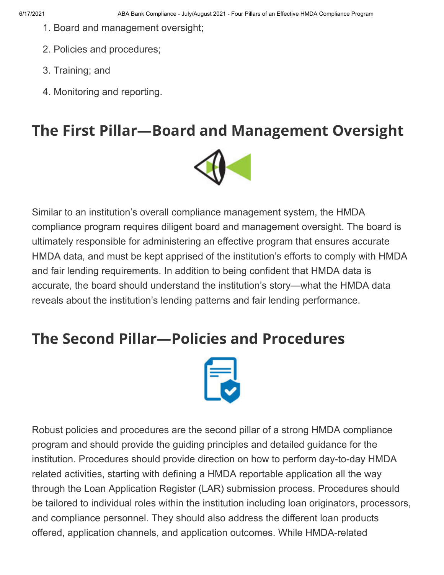- 1. Board and management oversight;
- 2. Policies and procedures;
- 3. Training; and
- 4. Monitoring and reporting.

#### **The First Pillar—Board and Management Oversight**



Similar to an institution's overall compliance management system, the HMDA compliance program requires diligent board and management oversight. The board is ultimately responsible for administering an effective program that ensures accurate HMDA data, and must be kept apprised of the institution's efforts to comply with HMDA and fair lending requirements. In addition to being confident that HMDA data is accurate, the board should understand the institution's story—what the HMDA data reveals about the institution's lending patterns and fair lending performance.

#### **The Second Pillar—Policies and Procedures**



Robust policies and procedures are the second pillar of a strong HMDA compliance program and should provide the guiding principles and detailed guidance for the institution. Procedures should provide direction on how to perform day-to-day HMDA related activities, starting with defining a HMDA reportable application all the way through the Loan Application Register (LAR) submission process. Procedures should be tailored to individual roles within the institution including loan originators, processors, and compliance personnel. They should also address the different loan products offered, application channels, and application outcomes. While HMDA-related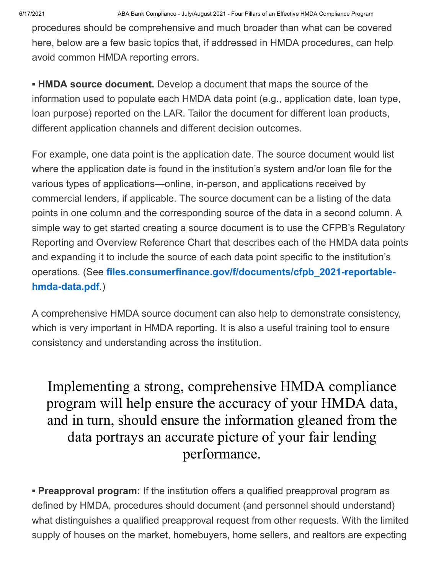procedures should be comprehensive and much broader than what can be covered here, below are a few basic topics that, if addressed in HMDA procedures, can help avoid common HMDA reporting errors.

**▪ HMDA source document.** Develop a document that maps the source of the information used to populate each HMDA data point (e.g., application date, loan type, loan purpose) reported on the LAR. Tailor the document for different loan products, different application channels and different decision outcomes.

For example, one data point is the application date. The source document would list where the application date is found in the institution's system and/or loan file for the various types of applications—online, in-person, and applications received by commercial lenders, if applicable. The source document can be a listing of the data points in one column and the corresponding source of the data in a second column. A simple way to get started creating a source document is to use the CFPB's Regulatory Reporting and Overview Reference Chart that describes each of the HMDA data points and expanding it to include the source of each data point specific to the institution's operations. (See **[files.consumerfinance.gov/f/documents/cfpb\\_2021-reportable](http://files.consumerfinance.gov/f/documents/cfpb_2021-reportable-hmda-data.pdf)hmda-data.pdf**.)

A comprehensive HMDA source document can also help to demonstrate consistency, which is very important in HMDA reporting. It is also a useful training tool to ensure consistency and understanding across the institution.

Implementing a strong, comprehensive HMDA compliance program will help ensure the accuracy of your HMDA data, and in turn, should ensure the information gleaned from the data portrays an accurate picture of your fair lending performance.

**• Preapproval program:** If the institution offers a qualified preapproval program as defined by HMDA, procedures should document (and personnel should understand) what distinguishes a qualified preapproval request from other requests. With the limited supply of houses on the market, homebuyers, home sellers, and realtors are expecting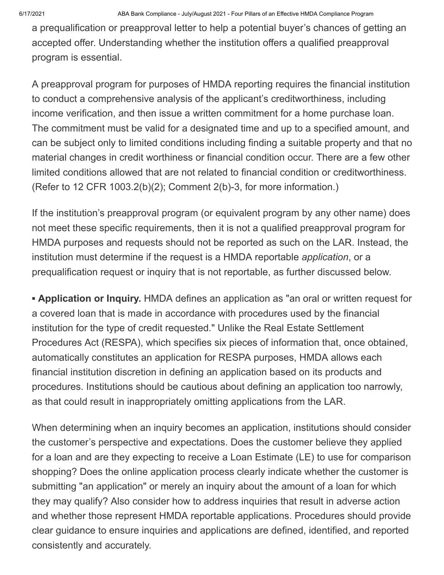a prequalification or preapproval letter to help a potential buyer's chances of getting an accepted offer. Understanding whether the institution offers a qualified preapproval program is essential.

A preapproval program for purposes of HMDA reporting requires the financial institution to conduct a comprehensive analysis of the applicant's creditworthiness, including income verification, and then issue a written commitment for a home purchase loan. The commitment must be valid for a designated time and up to a specified amount, and can be subject only to limited conditions including finding a suitable property and that no material changes in credit worthiness or financial condition occur. There are a few other limited conditions allowed that are not related to financial condition or creditworthiness. (Refer to 12 CFR 1003.2(b)(2); Comment 2(b)-3, for more information.)

If the institution's preapproval program (or equivalent program by any other name) does not meet these specific requirements, then it is not a qualified preapproval program for HMDA purposes and requests should not be reported as such on the LAR. Instead, the institution must determine if the request is a HMDA reportable *application*, or a prequalification request or inquiry that is not reportable, as further discussed below.

**▪ Application or Inquiry.** HMDA defines an application as "an oral or written request for a covered loan that is made in accordance with procedures used by the financial institution for the type of credit requested." Unlike the Real Estate Settlement Procedures Act (RESPA), which specifies six pieces of information that, once obtained, automatically constitutes an application for RESPA purposes, HMDA allows each financial institution discretion in defining an application based on its products and procedures. Institutions should be cautious about defining an application too narrowly, as that could result in inappropriately omitting applications from the LAR.

When determining when an inquiry becomes an application, institutions should consider the customer's perspective and expectations. Does the customer believe they applied for a loan and are they expecting to receive a Loan Estimate (LE) to use for comparison shopping? Does the online application process clearly indicate whether the customer is submitting "an application" or merely an inquiry about the amount of a loan for which they may qualify? Also consider how to address inquiries that result in adverse action and whether those represent HMDA reportable applications. Procedures should provide clear guidance to ensure inquiries and applications are defined, identified, and reported consistently and accurately.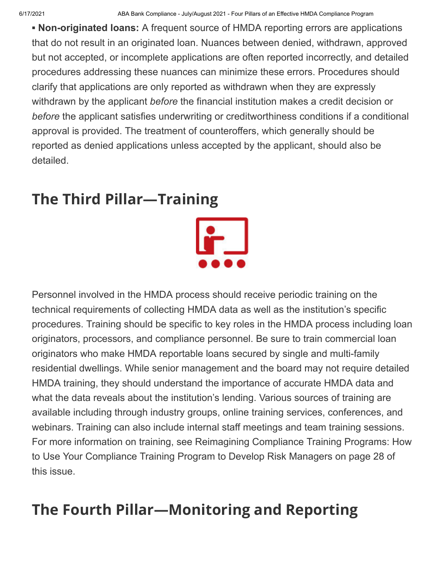**▪ Non-originated loans:** A frequent source of HMDA reporting errors are applications that do not result in an originated loan. Nuances between denied, withdrawn, approved but not accepted, or incomplete applications are often reported incorrectly, and detailed procedures addressing these nuances can minimize these errors. Procedures should clarify that applications are only reported as withdrawn when they are expressly withdrawn by the applicant *before* the financial institution makes a credit decision or *before* the applicant satisfies underwriting or creditworthiness conditions if a conditional approval is provided. The treatment of counteroffers, which generally should be reported as denied applications unless accepted by the applicant, should also be detailed.

### **The Third Pillar—Training**



Personnel involved in the HMDA process should receive periodic training on the technical requirements of collecting HMDA data as well as the institution's specific procedures. Training should be specific to key roles in the HMDA process including loan originators, processors, and compliance personnel. Be sure to train commercial loan originators who make HMDA reportable loans secured by single and multi-family residential dwellings. While senior management and the board may not require detailed HMDA training, they should understand the importance of accurate HMDA data and what the data reveals about the institution's lending. Various sources of training are available including through industry groups, online training services, conferences, and webinars. Training can also include internal staff meetings and team training sessions. For more information on training, see Reimagining Compliance Training Programs: How to Use Your Compliance Training Program to Develop Risk Managers on page 28 of this issue.

## **The Fourth Pillar—Monitoring and Reporting**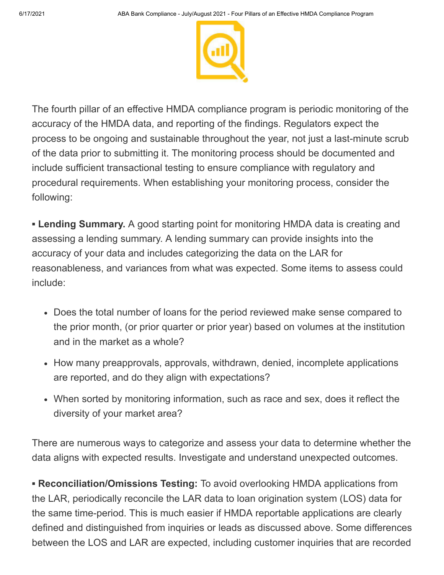

The fourth pillar of an effective HMDA compliance program is periodic monitoring of the accuracy of the HMDA data, and reporting of the findings. Regulators expect the process to be ongoing and sustainable throughout the year, not just a last-minute scrub of the data prior to submitting it. The monitoring process should be documented and include sufficient transactional testing to ensure compliance with regulatory and procedural requirements. When establishing your monitoring process, consider the following:

**▪ Lending Summary.** A good starting point for monitoring HMDA data is creating and assessing a lending summary. A lending summary can provide insights into the accuracy of your data and includes categorizing the data on the LAR for reasonableness, and variances from what was expected. Some items to assess could include:

- Does the total number of loans for the period reviewed make sense compared to the prior month, (or prior quarter or prior year) based on volumes at the institution and in the market as a whole?
- How many preapprovals, approvals, withdrawn, denied, incomplete applications are reported, and do they align with expectations?
- When sorted by monitoring information, such as race and sex, does it reflect the diversity of your market area?

There are numerous ways to categorize and assess your data to determine whether the data aligns with expected results. Investigate and understand unexpected outcomes.

**▪ Reconciliation/Omissions Testing:** To avoid overlooking HMDA applications from the LAR, periodically reconcile the LAR data to loan origination system (LOS) data for the same time-period. This is much easier if HMDA reportable applications are clearly defined and distinguished from inquiries or leads as discussed above. Some differences between the LOS and LAR are expected, including customer inquiries that are recorded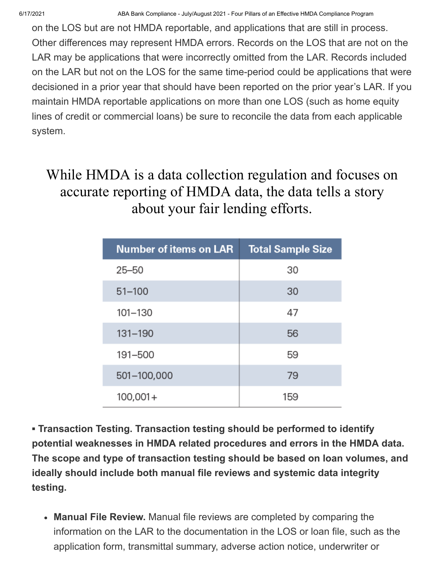6/17/2021 ABA Bank Compliance - July/August 2021 - Four Pillars of an Effective HMDA Compliance Program

on the LOS but are not HMDA reportable, and applications that are still in process. Other differences may represent HMDA errors. Records on the LOS that are not on the LAR may be applications that were incorrectly omitted from the LAR. Records included on the LAR but not on the LOS for the same time-period could be applications that were decisioned in a prior year that should have been reported on the prior year's LAR. If you maintain HMDA reportable applications on more than one LOS (such as home equity lines of credit or commercial loans) be sure to reconcile the data from each applicable system.

#### While HMDA is a data collection regulation and focuses on accurate reporting of HMDA data, the data tells a story about your fair lending efforts.

| <b>Number of items on LAR</b> | <b>Total Sample Size</b> |
|-------------------------------|--------------------------|
| $25 - 50$                     | 30                       |
| $51 - 100$                    | 30                       |
| 101-130                       | 47                       |
| $131 - 190$                   | 56                       |
| 191-500                       | 59                       |
| 501-100,000                   | 79                       |
| $100,001+$                    | 159                      |

**▪ Transaction Testing. Transaction testing should be performed to identify potential weaknesses in HMDA related procedures and errors in the HMDA data. The scope and type of transaction testing should be based on loan volumes, and ideally should include both manual file reviews and systemic data integrity testing.**

**Manual File Review.** Manual file reviews are completed by comparing the information on the LAR to the documentation in the LOS or loan file, such as the application form, transmittal summary, adverse action notice, underwriter or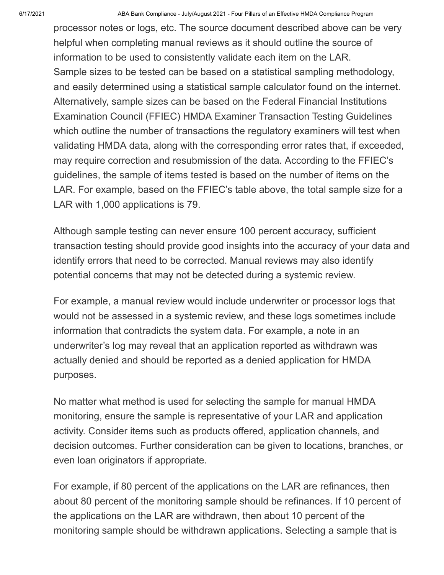processor notes or logs, etc. The source document described above can be very helpful when completing manual reviews as it should outline the source of information to be used to consistently validate each item on the LAR. Sample sizes to be tested can be based on a statistical sampling methodology, and easily determined using a statistical sample calculator found on the internet. Alternatively, sample sizes can be based on the Federal Financial Institutions Examination Council (FFIEC) HMDA Examiner Transaction Testing Guidelines which outline the number of transactions the regulatory examiners will test when validating HMDA data, along with the corresponding error rates that, if exceeded, may require correction and resubmission of the data. According to the FFIEC's guidelines, the sample of items tested is based on the number of items on the LAR. For example, based on the FFIEC's table above, the total sample size for a LAR with 1,000 applications is 79.

Although sample testing can never ensure 100 percent accuracy, sufficient transaction testing should provide good insights into the accuracy of your data and identify errors that need to be corrected. Manual reviews may also identify potential concerns that may not be detected during a systemic review.

For example, a manual review would include underwriter or processor logs that would not be assessed in a systemic review, and these logs sometimes include information that contradicts the system data. For example, a note in an underwriter's log may reveal that an application reported as withdrawn was actually denied and should be reported as a denied application for HMDA purposes.

No matter what method is used for selecting the sample for manual HMDA monitoring, ensure the sample is representative of your LAR and application activity. Consider items such as products offered, application channels, and decision outcomes. Further consideration can be given to locations, branches, or even loan originators if appropriate.

For example, if 80 percent of the applications on the LAR are refinances, then about 80 percent of the monitoring sample should be refinances. If 10 percent of the applications on the LAR are withdrawn, then about 10 percent of the monitoring sample should be withdrawn applications. Selecting a sample that is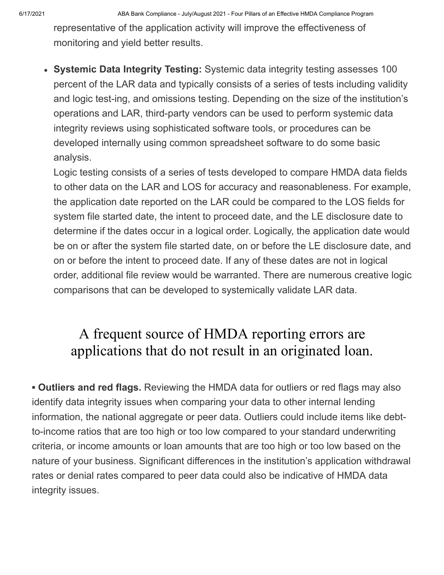representative of the application activity will improve the effectiveness of monitoring and yield better results.

**Systemic Data Integrity Testing:** Systemic data integrity testing assesses 100 percent of the LAR data and typically consists of a series of tests including validity and logic test-ing, and omissions testing. Depending on the size of the institution's operations and LAR, third-party vendors can be used to perform systemic data integrity reviews using sophisticated software tools, or procedures can be developed internally using common spreadsheet software to do some basic analysis.

Logic testing consists of a series of tests developed to compare HMDA data fields to other data on the LAR and LOS for accuracy and reasonableness. For example, the application date reported on the LAR could be compared to the LOS fields for system file started date, the intent to proceed date, and the LE disclosure date to determine if the dates occur in a logical order. Logically, the application date would be on or after the system file started date, on or before the LE disclosure date, and on or before the intent to proceed date. If any of these dates are not in logical order, additional file review would be warranted. There are numerous creative logic comparisons that can be developed to systemically validate LAR data.

#### A frequent source of HMDA reporting errors are applications that do not result in an originated loan.

**▪ Outliers and red flags.** Reviewing the HMDA data for outliers or red flags may also identify data integrity issues when comparing your data to other internal lending information, the national aggregate or peer data. Outliers could include items like debtto-income ratios that are too high or too low compared to your standard underwriting criteria, or income amounts or loan amounts that are too high or too low based on the nature of your business. Significant differences in the institution's application withdrawal rates or denial rates compared to peer data could also be indicative of HMDA data integrity issues.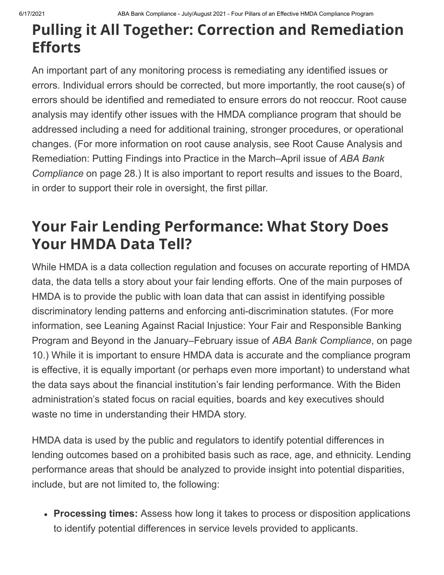## **Pulling it All Together: Correction and Remediation Efforts**

An important part of any monitoring process is remediating any identified issues or errors. Individual errors should be corrected, but more importantly, the root cause(s) of errors should be identified and remediated to ensure errors do not reoccur. Root cause analysis may identify other issues with the HMDA compliance program that should be addressed including a need for additional training, stronger procedures, or operational changes. (For more information on root cause analysis, see Root Cause Analysis and Remediation: Putting Findings into Practice in the March–April issue of *ABA Bank Compliance* on page 28.) It is also important to report results and issues to the Board, in order to support their role in oversight, the first pillar.

## **Your Fair Lending Performance: What Story Does Your HMDA Data Tell?**

While HMDA is a data collection regulation and focuses on accurate reporting of HMDA data, the data tells a story about your fair lending efforts. One of the main purposes of HMDA is to provide the public with loan data that can assist in identifying possible discriminatory lending patterns and enforcing anti-discrimination statutes. (For more information, see Leaning Against Racial Injustice: Your Fair and Responsible Banking Program and Beyond in the January–February issue of *ABA Bank Compliance*, on page 10.) While it is important to ensure HMDA data is accurate and the compliance program is effective, it is equally important (or perhaps even more important) to understand what the data says about the financial institution's fair lending performance. With the Biden administration's stated focus on racial equities, boards and key executives should waste no time in understanding their HMDA story.

HMDA data is used by the public and regulators to identify potential differences in lending outcomes based on a prohibited basis such as race, age, and ethnicity. Lending performance areas that should be analyzed to provide insight into potential disparities, include, but are not limited to, the following:

**Processing times:** Assess how long it takes to process or disposition applications to identify potential differences in service levels provided to applicants.